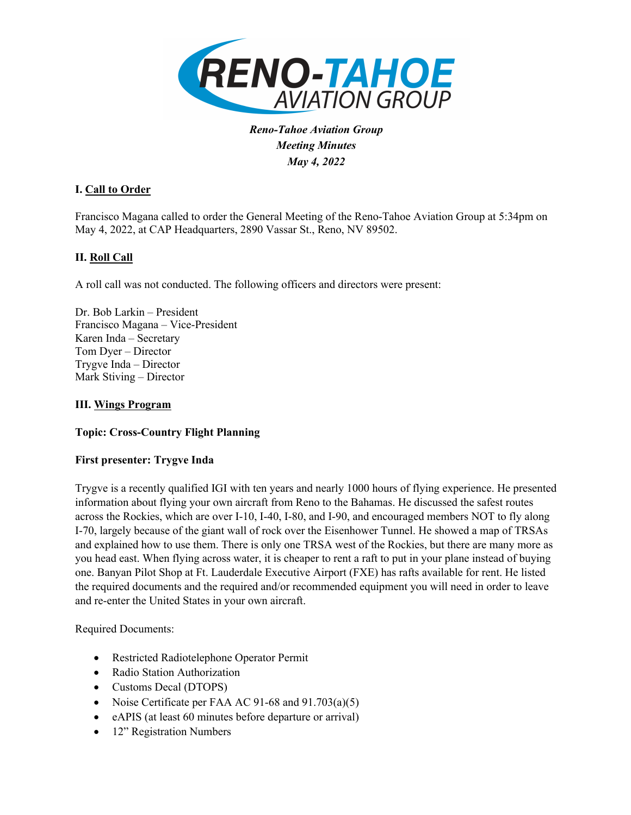

*Reno-Tahoe Aviation Group Meeting Minutes May 4, 2022*

# **I. Call to Order**

Francisco Magana called to order the General Meeting of the Reno-Tahoe Aviation Group at 5:34pm on May 4, 2022, at CAP Headquarters, 2890 Vassar St., Reno, NV 89502.

# **II. Roll Call**

A roll call was not conducted. The following officers and directors were present:

Dr. Bob Larkin – President Francisco Magana – Vice-President Karen Inda – Secretary Tom Dyer – Director Trygve Inda – Director Mark Stiving – Director

## **III. Wings Program**

## **Topic: Cross-Country Flight Planning**

#### **First presenter: Trygve Inda**

Trygve is a recently qualified IGI with ten years and nearly 1000 hours of flying experience. He presented information about flying your own aircraft from Reno to the Bahamas. He discussed the safest routes across the Rockies, which are over I-10, I-40, I-80, and I-90, and encouraged members NOT to fly along I-70, largely because of the giant wall of rock over the Eisenhower Tunnel. He showed a map of TRSAs and explained how to use them. There is only one TRSA west of the Rockies, but there are many more as you head east. When flying across water, it is cheaper to rent a raft to put in your plane instead of buying one. Banyan Pilot Shop at Ft. Lauderdale Executive Airport (FXE) has rafts available for rent. He listed the required documents and the required and/or recommended equipment you will need in order to leave and re-enter the United States in your own aircraft.

Required Documents:

- Restricted Radiotelephone Operator Permit
- Radio Station Authorization
- Customs Decal (DTOPS)
- Noise Certificate per FAA AC 91-68 and 91.703(a)(5)
- eAPIS (at least 60 minutes before departure or arrival)
- 12" Registration Numbers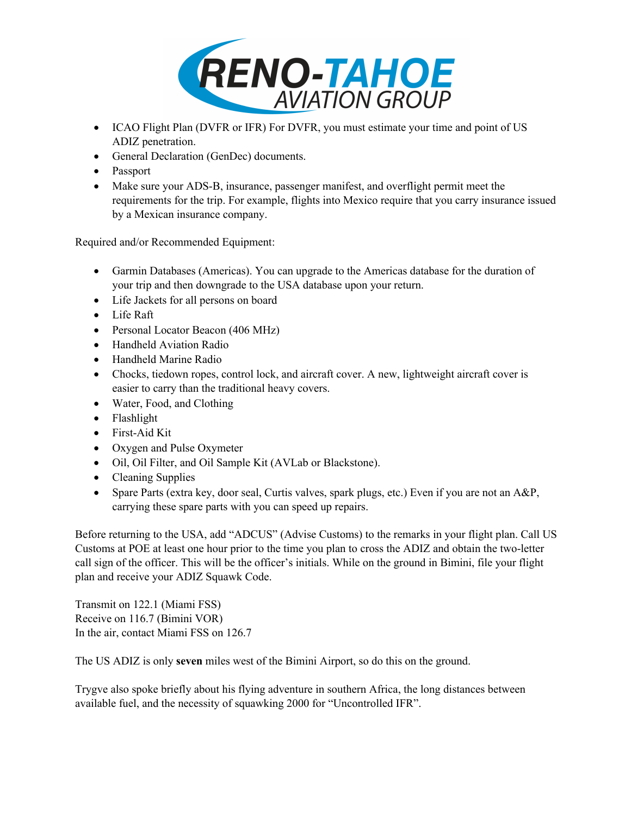

- ICAO Flight Plan (DVFR or IFR) For DVFR, you must estimate your time and point of US ADIZ penetration.
- General Declaration (GenDec) documents.
- Passport
- Make sure your ADS-B, insurance, passenger manifest, and overflight permit meet the requirements for the trip. For example, flights into Mexico require that you carry insurance issued by a Mexican insurance company.

Required and/or Recommended Equipment:

- Garmin Databases (Americas). You can upgrade to the Americas database for the duration of your trip and then downgrade to the USA database upon your return.
- Life Jackets for all persons on board
- Life Raft
- Personal Locator Beacon (406 MHz)
- Handheld Aviation Radio
- Handheld Marine Radio
- Chocks, tiedown ropes, control lock, and aircraft cover. A new, lightweight aircraft cover is easier to carry than the traditional heavy covers.
- Water, Food, and Clothing
- Flashlight
- First-Aid Kit
- Oxygen and Pulse Oxymeter
- Oil, Oil Filter, and Oil Sample Kit (AVLab or Blackstone).
- Cleaning Supplies
- Spare Parts (extra key, door seal, Curtis valves, spark plugs, etc.) Even if you are not an A&P, carrying these spare parts with you can speed up repairs.

Before returning to the USA, add "ADCUS" (Advise Customs) to the remarks in your flight plan. Call US Customs at POE at least one hour prior to the time you plan to cross the ADIZ and obtain the two-letter call sign of the officer. This will be the officer's initials. While on the ground in Bimini, file your flight plan and receive your ADIZ Squawk Code.

Transmit on 122.1 (Miami FSS) Receive on 116.7 (Bimini VOR) In the air, contact Miami FSS on 126.7

The US ADIZ is only **seven** miles west of the Bimini Airport, so do this on the ground.

Trygve also spoke briefly about his flying adventure in southern Africa, the long distances between available fuel, and the necessity of squawking 2000 for "Uncontrolled IFR".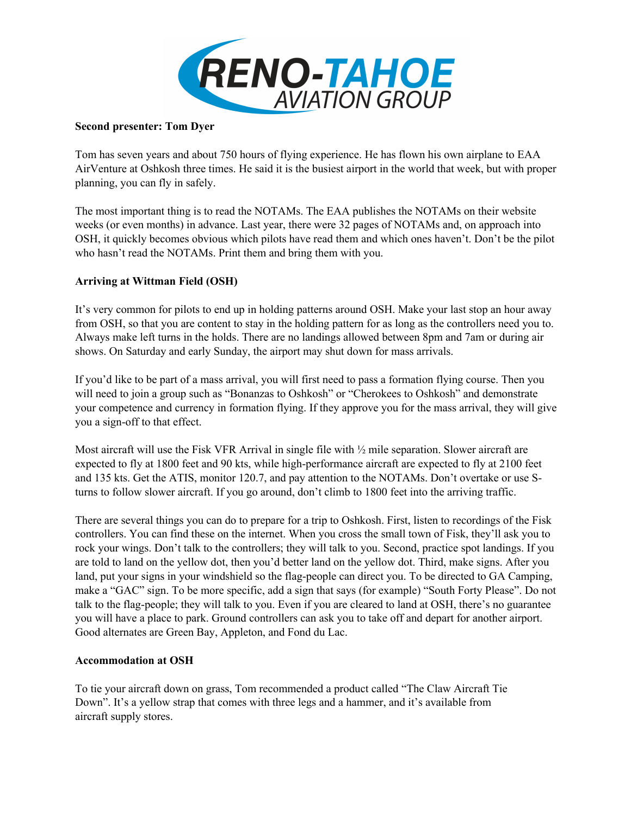

#### **Second presenter: Tom Dyer**

Tom has seven years and about 750 hours of flying experience. He has flown his own airplane to EAA AirVenture at Oshkosh three times. He said it is the busiest airport in the world that week, but with proper planning, you can fly in safely.

The most important thing is to read the NOTAMs. The EAA publishes the NOTAMs on their website weeks (or even months) in advance. Last year, there were 32 pages of NOTAMs and, on approach into OSH, it quickly becomes obvious which pilots have read them and which ones haven't. Don't be the pilot who hasn't read the NOTAMs. Print them and bring them with you.

## **Arriving at Wittman Field (OSH)**

It's very common for pilots to end up in holding patterns around OSH. Make your last stop an hour away from OSH, so that you are content to stay in the holding pattern for as long as the controllers need you to. Always make left turns in the holds. There are no landings allowed between 8pm and 7am or during air shows. On Saturday and early Sunday, the airport may shut down for mass arrivals.

If you'd like to be part of a mass arrival, you will first need to pass a formation flying course. Then you will need to join a group such as "Bonanzas to Oshkosh" or "Cherokees to Oshkosh" and demonstrate your competence and currency in formation flying. If they approve you for the mass arrival, they will give you a sign-off to that effect.

Most aircraft will use the Fisk VFR Arrival in single file with ½ mile separation. Slower aircraft are expected to fly at 1800 feet and 90 kts, while high-performance aircraft are expected to fly at 2100 feet and 135 kts. Get the ATIS, monitor 120.7, and pay attention to the NOTAMs. Don't overtake or use Sturns to follow slower aircraft. If you go around, don't climb to 1800 feet into the arriving traffic.

There are several things you can do to prepare for a trip to Oshkosh. First, listen to recordings of the Fisk controllers. You can find these on the internet. When you cross the small town of Fisk, they'll ask you to rock your wings. Don't talk to the controllers; they will talk to you. Second, practice spot landings. If you are told to land on the yellow dot, then you'd better land on the yellow dot. Third, make signs. After you land, put your signs in your windshield so the flag-people can direct you. To be directed to GA Camping, make a "GAC" sign. To be more specific, add a sign that says (for example) "South Forty Please". Do not talk to the flag-people; they will talk to you. Even if you are cleared to land at OSH, there's no guarantee you will have a place to park. Ground controllers can ask you to take off and depart for another airport. Good alternates are Green Bay, Appleton, and Fond du Lac.

#### **Accommodation at OSH**

To tie your aircraft down on grass, Tom recommended a product called "The Claw Aircraft Tie Down". It's a yellow strap that comes with three legs and a hammer, and it's available from aircraft supply stores.